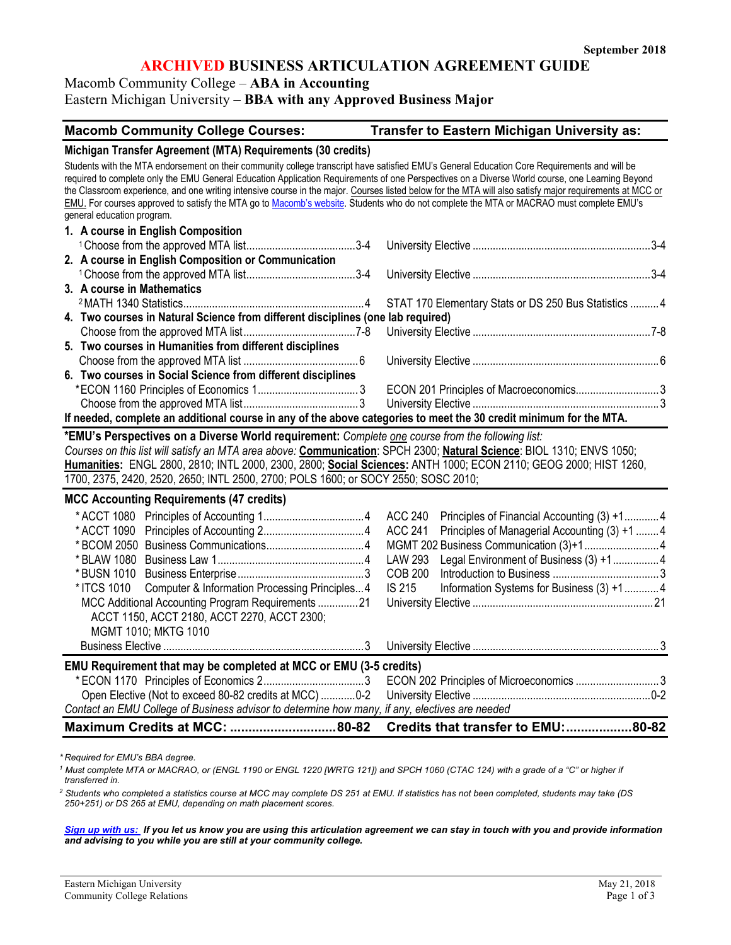# **ARCHIVED BUSINESS ARTICULATION AGREEMENT GUIDE**

Macomb Community College – **ABA in Accounting** Eastern Michigan University – **BBA with any Approved Business Major**

| <b>Macomb Community College Courses:</b>                    | <b>Transfer to Eastern Michigan University as:</b> |  |  |
|-------------------------------------------------------------|----------------------------------------------------|--|--|
| Michigan Transfer Agreement (MTA) Requirements (30 credits) |                                                    |  |  |

| Students with the MTA endorsement on their community college transcript have satisfied EMU's General Education Core Requirements and will be<br>required to complete only the EMU General Education Application Requirements of one Perspectives on a Diverse World course, one Learning Beyond<br>the Classroom experience, and one writing intensive course in the major. Courses listed below for the MTA will also satisfy major requirements at MCC or<br>EMU. For courses approved to satisfy the MTA go to Macomb's website. Students who do not complete the MTA or MACRAO must complete EMU's<br>general education program. |                                                                                                                                                                                                                                                                             |  |  |  |
|--------------------------------------------------------------------------------------------------------------------------------------------------------------------------------------------------------------------------------------------------------------------------------------------------------------------------------------------------------------------------------------------------------------------------------------------------------------------------------------------------------------------------------------------------------------------------------------------------------------------------------------|-----------------------------------------------------------------------------------------------------------------------------------------------------------------------------------------------------------------------------------------------------------------------------|--|--|--|
| 1. A course in English Composition                                                                                                                                                                                                                                                                                                                                                                                                                                                                                                                                                                                                   |                                                                                                                                                                                                                                                                             |  |  |  |
|                                                                                                                                                                                                                                                                                                                                                                                                                                                                                                                                                                                                                                      |                                                                                                                                                                                                                                                                             |  |  |  |
| 2. A course in English Composition or Communication                                                                                                                                                                                                                                                                                                                                                                                                                                                                                                                                                                                  |                                                                                                                                                                                                                                                                             |  |  |  |
|                                                                                                                                                                                                                                                                                                                                                                                                                                                                                                                                                                                                                                      |                                                                                                                                                                                                                                                                             |  |  |  |
| 3. A course in Mathematics                                                                                                                                                                                                                                                                                                                                                                                                                                                                                                                                                                                                           |                                                                                                                                                                                                                                                                             |  |  |  |
|                                                                                                                                                                                                                                                                                                                                                                                                                                                                                                                                                                                                                                      | STAT 170 Elementary Stats or DS 250 Bus Statistics  4                                                                                                                                                                                                                       |  |  |  |
| 4. Two courses in Natural Science from different disciplines (one lab required)                                                                                                                                                                                                                                                                                                                                                                                                                                                                                                                                                      |                                                                                                                                                                                                                                                                             |  |  |  |
|                                                                                                                                                                                                                                                                                                                                                                                                                                                                                                                                                                                                                                      |                                                                                                                                                                                                                                                                             |  |  |  |
| 5. Two courses in Humanities from different disciplines                                                                                                                                                                                                                                                                                                                                                                                                                                                                                                                                                                              |                                                                                                                                                                                                                                                                             |  |  |  |
|                                                                                                                                                                                                                                                                                                                                                                                                                                                                                                                                                                                                                                      |                                                                                                                                                                                                                                                                             |  |  |  |
| 6. Two courses in Social Science from different disciplines                                                                                                                                                                                                                                                                                                                                                                                                                                                                                                                                                                          |                                                                                                                                                                                                                                                                             |  |  |  |
|                                                                                                                                                                                                                                                                                                                                                                                                                                                                                                                                                                                                                                      | ECON 201 Principles of Macroeconomics 3                                                                                                                                                                                                                                     |  |  |  |
|                                                                                                                                                                                                                                                                                                                                                                                                                                                                                                                                                                                                                                      |                                                                                                                                                                                                                                                                             |  |  |  |
| If needed, complete an additional course in any of the above categories to meet the 30 credit minimum for the MTA.                                                                                                                                                                                                                                                                                                                                                                                                                                                                                                                   |                                                                                                                                                                                                                                                                             |  |  |  |
| *EMU's Perspectives on a Diverse World requirement: Complete one course from the following list:<br>Courses on this list will satisfy an MTA area above: Communication: SPCH 2300; Natural Science: BIOL 1310; ENVS 1050;<br>Humanities: ENGL 2800, 2810; INTL 2000, 2300, 2800; Social Sciences: ANTH 1000; ECON 2110; GEOG 2000; HIST 1260,<br>1700, 2375, 2420, 2520, 2650; INTL 2500, 2700; POLS 1600; or SOCY 2550; SOSC 2010;                                                                                                                                                                                                  |                                                                                                                                                                                                                                                                             |  |  |  |
| <b>MCC Accounting Requirements (47 credits)</b>                                                                                                                                                                                                                                                                                                                                                                                                                                                                                                                                                                                      |                                                                                                                                                                                                                                                                             |  |  |  |
| Computer & Information Processing Principles4<br>* ITCS 1010<br>MCC Additional Accounting Program Requirements 21<br>ACCT 1150, ACCT 2180, ACCT 2270, ACCT 2300;<br>MGMT 1010; MKTG 1010                                                                                                                                                                                                                                                                                                                                                                                                                                             | <b>ACC 240</b><br>Principles of Financial Accounting (3) +14<br>Principles of Managerial Accounting (3) +1  4<br><b>ACC 241</b><br>Legal Environment of Business (3) +1 4<br><b>LAW 293</b><br><b>COB 200</b><br><b>IS 215</b><br>Information Systems for Business (3) +1 4 |  |  |  |
|                                                                                                                                                                                                                                                                                                                                                                                                                                                                                                                                                                                                                                      |                                                                                                                                                                                                                                                                             |  |  |  |
| EMU Requirement that may be completed at MCC or EMU (3-5 credits)<br>Open Elective (Not to exceed 80-82 credits at MCC) 0-2<br>Contact an EMU College of Business advisor to determine how many, if any, electives are needed                                                                                                                                                                                                                                                                                                                                                                                                        | ECON 202 Principles of Microeconomics  3<br>Credits that transfer to EMU:80-82                                                                                                                                                                                              |  |  |  |

*\* Required for EMU's BBA degree.*

*<sup>1</sup> Must complete MTA or MACRAO, or (ENGL 1190 or ENGL 1220 [WRTG 121]) and SPCH 1060 (CTAC 124) with a grade of a "C" or higher if transferred in.* 

*<sup>2</sup> Students who completed a statistics course at MCC may complete DS 251 at EMU. If statistics has not been completed, students may take (DS 250+251) or DS 265 at EMU, depending on math placement scores.* 

*[Sign up with us:](https://www.emich.edu/ccr/articulation-agreements/signup.php) If you let us know you are using this articulation agreement we can stay in touch with you and provide information and advising to you while you are still at your community college.*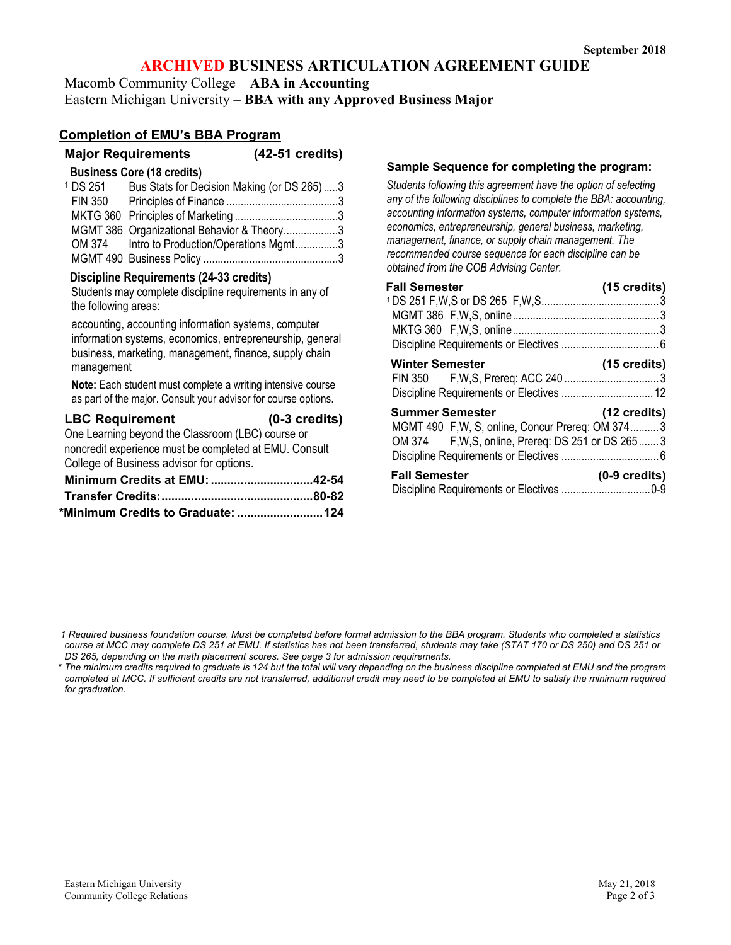# **ARCHIVED BUSINESS ARTICULATION AGREEMENT GUIDE**

Macomb Community College – **ABA in Accounting** Eastern Michigan University – **BBA with any Approved Business Major**

### **Completion of EMU's BBA Program**

**Major Requirements (42-51 credits)**

| <sup>1</sup> DS 251 | Bus Stats for Decision Making (or DS 265)3  |  |
|---------------------|---------------------------------------------|--|
|                     |                                             |  |
|                     |                                             |  |
|                     | MGMT 386 Organizational Behavior & Theory3  |  |
|                     | OM 374 Intro to Production/Operations Mgmt3 |  |
|                     |                                             |  |

#### **Discipline Requirements (24-33 credits)**

Students may complete discipline requirements in any of the following areas:

accounting, accounting information systems, computer information systems, economics, entrepreneurship, general business, marketing, management, finance, supply chain management

**Note:** Each student must complete a writing intensive course as part of the major. Consult your advisor for course options.

| <b>LBC Requirement</b>                                 | $(0-3$ credits) |
|--------------------------------------------------------|-----------------|
| One Learning beyond the Classroom (LBC) course or      |                 |
| noncredit experience must be completed at EMU. Consult |                 |

College of Business advisor for options.

| *Minimum Credits to Graduate:  124 |  |
|------------------------------------|--|

#### **Sample Sequence for completing the program:**

*Students following this agreement have the option of selecting any of the following disciplines to complete the BBA: accounting, accounting information systems, computer information systems, economics, entrepreneurship, general business, marketing, management, finance, or supply chain management. The recommended course sequence for each discipline can be obtained from the COB Advising Center.*

| <b>Fall Semester</b>                               | (15 credits)            |
|----------------------------------------------------|-------------------------|
|                                                    |                         |
|                                                    |                         |
|                                                    |                         |
|                                                    |                         |
| <b>Winter Semester</b>                             | $(15 \text{ credits})$  |
|                                                    |                         |
|                                                    |                         |
| <b>Summer Semester</b>                             | $(12 \text{ credits})$  |
| MGMT 490 F, W, S, online, Concur Prereq: OM 3743   |                         |
| OM 374 F, W, S, online, Prereq: DS 251 or DS 265 3 |                         |
|                                                    |                         |
| <b>Fall Semester</b>                               | $(0-9 \text{ credits})$ |
|                                                    |                         |

*\* The minimum credits required to graduate is 124 but the total will vary depending on the business discipline completed at EMU and the program completed at MCC. If sufficient credits are not transferred, additional credit may need to be completed at EMU to satisfy the minimum required for graduation.*

*<sup>1</sup> Required business foundation course. Must be completed before formal admission to the BBA program. Students who completed a statistics course at MCC may complete DS 251 at EMU. If statistics has not been transferred, students may take (STAT 170 or DS 250) and DS 251 or DS 265, depending on the math placement scores. See page 3 for admission requirements.*